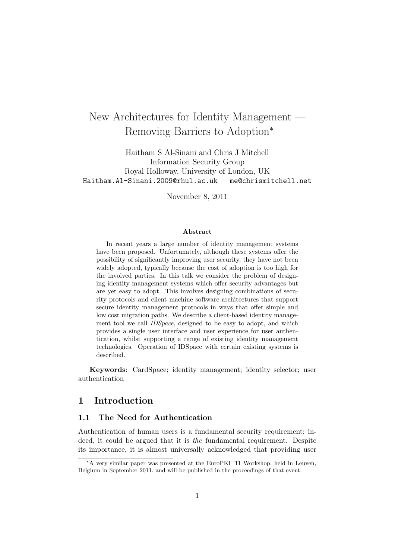# New Architectures for Identity Management — Removing Barriers to Adoption<sup>∗</sup>

Haitham S Al-Sinani and Chris J Mitchell Information Security Group Royal Holloway, University of London, UK Haitham.Al-Sinani.2009@rhul.ac.uk me@chrismitchell.net

November 8, 2011

#### Abstract

In recent years a large number of identity management systems have been proposed. Unfortunately, although these systems offer the possibility of significantly improving user security, they have not been widely adopted, typically because the cost of adoption is too high for the involved parties. In this talk we consider the problem of designing identity management systems which offer security advantages but are yet easy to adopt. This involves designing combinations of security protocols and client machine software architectures that support secure identity management protocols in ways that offer simple and low cost migration paths. We describe a client-based identity management tool we call IDSpace, designed to be easy to adopt, and which provides a single user interface and user experience for user authentication, whilst supporting a range of existing identity management technologies. Operation of IDSpace with certain existing systems is described.

Keywords: CardSpace; identity management; identity selector; user authentication

# 1 Introduction

### 1.1 The Need for Authentication

Authentication of human users is a fundamental security requirement; indeed, it could be argued that it is *the* fundamental requirement. Despite its importance, it is almost universally acknowledged that providing user

<sup>∗</sup>A very similar paper was presented at the EuroPKI '11 Workshop, held in Leuven, Belgium in September 2011, and will be published in the proceedings of that event.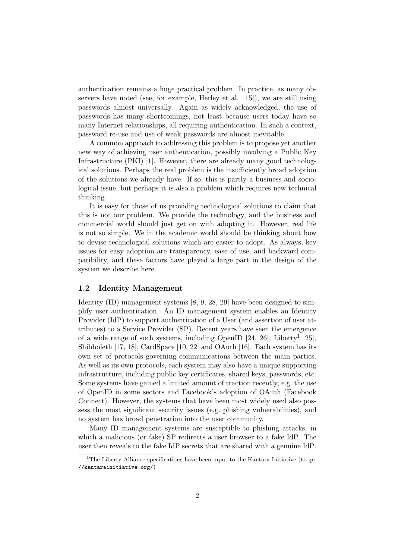authentication remains a huge practical problem. In practice, as many observers have noted (see, for example, Herley et al. [15]), we are still using passwords almost universally. Again as widely acknowledged, the use of passwords has many shortcomings, not least because users today have so many Internet relationships, all requiring authentication. In such a context, password re-use and use of weak passwords are almost inevitable.

A common approach to addressing this problem is to propose yet another new way of achieving user authentication, possibly involving a Public Key Infrastructure (PKI) [1]. However, there are already many good technological solutions. Perhaps the real problem is the insufficiently broad adoption of the solutions we already have. If so, this is partly a business and sociological issue, but perhaps it is also a problem which requires new technical thinking.

It is easy for those of us providing technological solutions to claim that this is not our problem. We provide the technology, and the business and commercial world should just get on with adopting it. However, real life is not so simple. We in the academic world should be thinking about how to devise technological solutions which are easier to adopt. As always, key issues for easy adoption are transparency, ease of use, and backward compatibility, and these factors have played a large part in the design of the system we describe here.

#### 1.2 Identity Management

Identity (ID) management systems [8, 9, 28, 29] have been designed to simplify user authentication. An ID management system enables an Identity Provider (IdP) to support authentication of a User (and assertion of user attributes) to a Service Provider (SP). Recent years have seen the emergence of a wide range of such systems, including OpenID  $[24, 26]$ , Liberty<sup>1</sup>  $[25]$ , Shibboleth [17, 18], CardSpace [10, 22] and OAuth [16]. Each system has its own set of protocols governing communications between the main parties. As well as its own protocols, each system may also have a unique supporting infrastructure, including public key certificates, shared keys, passwords, etc. Some systems have gained a limited amount of traction recently, e.g. the use of OpenID in some sectors and Facebook's adoption of OAuth (Facebook Connect). However, the systems that have been most widely used also possess the most significant security issues (e.g. phishing vulnerabilities), and no system has broad penetration into the user community.

Many ID management systems are susceptible to phishing attacks, in which a malicious (or fake) SP redirects a user browser to a fake IdP. The user then reveals to the fake IdP secrets that are shared with a genuine IdP.

<sup>1</sup>The Liberty Alliance specifications have been input to the Kantara Initiative (http: //kantarainitiative.org/)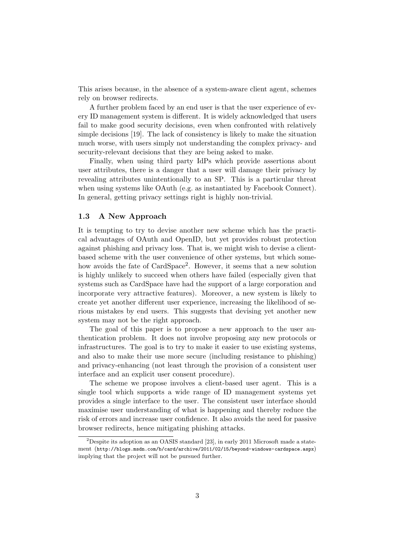This arises because, in the absence of a system-aware client agent, schemes rely on browser redirects.

A further problem faced by an end user is that the user experience of every ID management system is different. It is widely acknowledged that users fail to make good security decisions, even when confronted with relatively simple decisions [19]. The lack of consistency is likely to make the situation much worse, with users simply not understanding the complex privacy- and security-relevant decisions that they are being asked to make.

Finally, when using third party IdPs which provide assertions about user attributes, there is a danger that a user will damage their privacy by revealing attributes unintentionally to an SP. This is a particular threat when using systems like OAuth (e.g. as instantiated by Facebook Connect). In general, getting privacy settings right is highly non-trivial.

### 1.3 A New Approach

It is tempting to try to devise another new scheme which has the practical advantages of OAuth and OpenID, but yet provides robust protection against phishing and privacy loss. That is, we might wish to devise a clientbased scheme with the user convenience of other systems, but which somehow avoids the fate of CardSpace<sup>2</sup>. However, it seems that a new solution is highly unlikely to succeed when others have failed (especially given that systems such as CardSpace have had the support of a large corporation and incorporate very attractive features). Moreover, a new system is likely to create yet another different user experience, increasing the likelihood of serious mistakes by end users. This suggests that devising yet another new system may not be the right approach.

The goal of this paper is to propose a new approach to the user authentication problem. It does not involve proposing any new protocols or infrastructures. The goal is to try to make it easier to use existing systems, and also to make their use more secure (including resistance to phishing) and privacy-enhancing (not least through the provision of a consistent user interface and an explicit user consent procedure).

The scheme we propose involves a client-based user agent. This is a single tool which supports a wide range of ID management systems yet provides a single interface to the user. The consistent user interface should maximise user understanding of what is happening and thereby reduce the risk of errors and increase user confidence. It also avoids the need for passive browser redirects, hence mitigating phishing attacks.

<sup>2</sup>Despite its adoption as an OASIS standard [23], in early 2011 Microsoft made a statement (http://blogs.msdn.com/b/card/archive/2011/02/15/beyond-windows-cardspace.aspx) implying that the project will not be pursued further.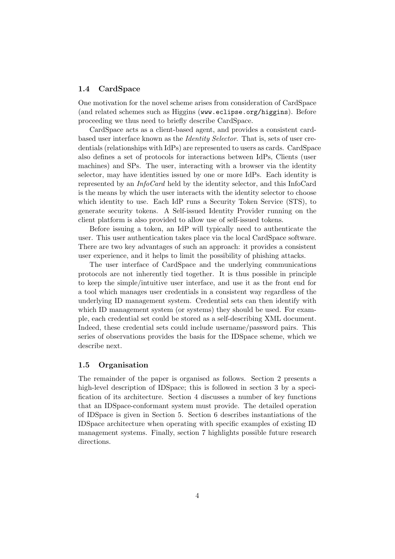#### 1.4 CardSpace

One motivation for the novel scheme arises from consideration of CardSpace (and related schemes such as Higgins (www.eclipse.org/higgins). Before proceeding we thus need to briefly describe CardSpace.

CardSpace acts as a client-based agent, and provides a consistent cardbased user interface known as the Identity Selector. That is, sets of user credentials (relationships with IdPs) are represented to users as cards. CardSpace also defines a set of protocols for interactions between IdPs, Clients (user machines) and SPs. The user, interacting with a browser via the identity selector, may have identities issued by one or more IdPs. Each identity is represented by an InfoCard held by the identity selector, and this InfoCard is the means by which the user interacts with the identity selector to choose which identity to use. Each IdP runs a Security Token Service (STS), to generate security tokens. A Self-issued Identity Provider running on the client platform is also provided to allow use of self-issued tokens.

Before issuing a token, an IdP will typically need to authenticate the user. This user authentication takes place via the local CardSpace software. There are two key advantages of such an approach: it provides a consistent user experience, and it helps to limit the possibility of phishing attacks.

The user interface of CardSpace and the underlying communications protocols are not inherently tied together. It is thus possible in principle to keep the simple/intuitive user interface, and use it as the front end for a tool which manages user credentials in a consistent way regardless of the underlying ID management system. Credential sets can then identify with which ID management system (or systems) they should be used. For example, each credential set could be stored as a self-describing XML document. Indeed, these credential sets could include username/password pairs. This series of observations provides the basis for the IDSpace scheme, which we describe next.

#### 1.5 Organisation

The remainder of the paper is organised as follows. Section 2 presents a high-level description of IDSpace; this is followed in section 3 by a specification of its architecture. Section 4 discusses a number of key functions that an IDSpace-conformant system must provide. The detailed operation of IDSpace is given in Section 5. Section 6 describes instantiations of the IDSpace architecture when operating with specific examples of existing ID management systems. Finally, section 7 highlights possible future research directions.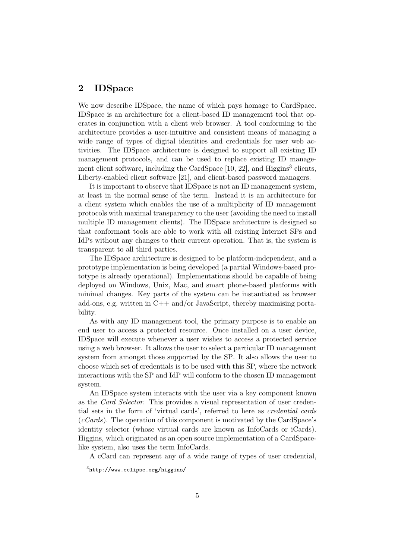# 2 IDSpace

We now describe IDSpace, the name of which pays homage to CardSpace. IDSpace is an architecture for a client-based ID management tool that operates in conjunction with a client web browser. A tool conforming to the architecture provides a user-intuitive and consistent means of managing a wide range of types of digital identities and credentials for user web activities. The IDSpace architecture is designed to support all existing ID management protocols, and can be used to replace existing ID management client software, including the CardSpace  $[10, 22]$ , and Higgins<sup>3</sup> clients, Liberty-enabled client software [21], and client-based password managers.

It is important to observe that IDSpace is not an ID management system, at least in the normal sense of the term. Instead it is an architecture for a client system which enables the use of a multiplicity of ID management protocols with maximal transparency to the user (avoiding the need to install multiple ID management clients). The IDSpace architecture is designed so that conformant tools are able to work with all existing Internet SPs and IdPs without any changes to their current operation. That is, the system is transparent to all third parties.

The IDSpace architecture is designed to be platform-independent, and a prototype implementation is being developed (a partial Windows-based prototype is already operational). Implementations should be capable of being deployed on Windows, Unix, Mac, and smart phone-based platforms with minimal changes. Key parts of the system can be instantiated as browser add-ons, e.g. written in  $C++$  and/or JavaScript, thereby maximising portability.

As with any ID management tool, the primary purpose is to enable an end user to access a protected resource. Once installed on a user device, IDSpace will execute whenever a user wishes to access a protected service using a web browser. It allows the user to select a particular ID management system from amongst those supported by the SP. It also allows the user to choose which set of credentials is to be used with this SP, where the network interactions with the SP and IdP will conform to the chosen ID management system.

An IDSpace system interacts with the user via a key component known as the Card Selector. This provides a visual representation of user credential sets in the form of 'virtual cards', referred to here as credential cards  $(c\text{Cards})$ . The operation of this component is motivated by the CardSpace's identity selector (whose virtual cards are known as InfoCards or iCards). Higgins, which originated as an open source implementation of a CardSpacelike system, also uses the term InfoCards.

A cCard can represent any of a wide range of types of user credential,

 $^3$ http://www.eclipse.org/higgins/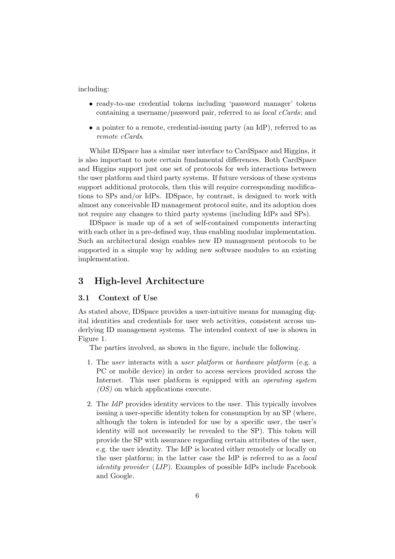including:

- ready-to-use credential tokens including 'password manager' tokens containing a username/password pair, referred to as local cCards; and
- a pointer to a remote, credential-issuing party (an IdP), referred to as remote cCards.

Whilst IDSpace has a similar user interface to CardSpace and Higgins, it is also important to note certain fundamental differences. Both CardSpace and Higgins support just one set of protocols for web interactions between the user platform and third party systems. If future versions of these systems support additional protocols, then this will require corresponding modifications to SPs and/or IdPs. IDSpace, by contrast, is designed to work with almost any conceivable ID management protocol suite, and its adoption does not require any changes to third party systems (including IdPs and SPs).

IDSpace is made up of a set of self-contained components interacting with each other in a pre-defined way, thus enabling modular implementation. Such an architectural design enables new ID management protocols to be supported in a simple way by adding new software modules to an existing implementation.

# 3 High-level Architecture

#### 3.1 Context of Use

As stated above, IDSpace provides a user-intuitive means for managing digital identities and credentials for user web activities, consistent across underlying ID management systems. The intended context of use is shown in Figure 1.

The parties involved, as shown in the figure, include the following.

- 1. The user interacts with a user platform or hardware platform (e.g. a PC or mobile device) in order to access services provided across the Internet. This user platform is equipped with an *operating system* (OS) on which applications execute.
- 2. The IdP provides identity services to the user. This typically involves issuing a user-specific identity token for consumption by an SP (where, although the token is intended for use by a specific user, the user's identity will not necessarily be revealed to the SP). This token will provide the SP with assurance regarding certain attributes of the user, e.g. the user identity. The IdP is located either remotely or locally on the user platform; in the latter case the IdP is referred to as a local identity provider (LIP). Examples of possible IdPs include Facebook and Google.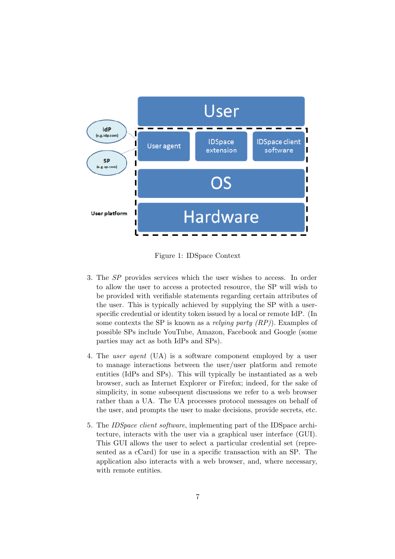

Figure 1: IDSpace Context

- 3. The SP provides services which the user wishes to access. In order to allow the user to access a protected resource, the SP will wish to be provided with verifiable statements regarding certain attributes of the user. This is typically achieved by supplying the SP with a userspecific credential or identity token issued by a local or remote IdP. (In some contexts the SP is known as a *relying party (RP)*). Examples of possible SPs include YouTube, Amazon, Facebook and Google (some parties may act as both IdPs and SPs).
- 4. The user agent (UA) is a software component employed by a user to manage interactions between the user/user platform and remote entities (IdPs and SPs). This will typically be instantiated as a web browser, such as Internet Explorer or Firefox; indeed, for the sake of simplicity, in some subsequent discussions we refer to a web browser rather than a UA. The UA processes protocol messages on behalf of the user, and prompts the user to make decisions, provide secrets, etc.
- 5. The IDSpace client software, implementing part of the IDSpace architecture, interacts with the user via a graphical user interface (GUI). This GUI allows the user to select a particular credential set (represented as a cCard) for use in a specific transaction with an SP. The application also interacts with a web browser, and, where necessary, with remote entities.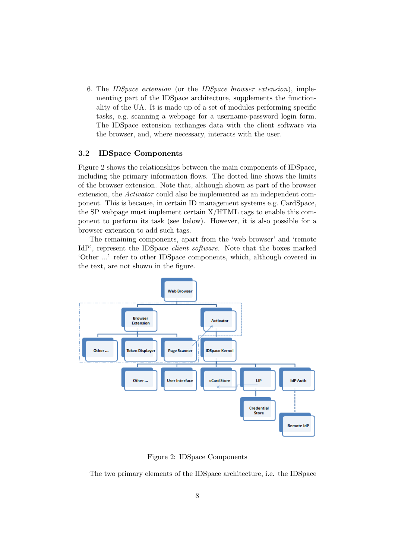6. The IDSpace extension (or the IDSpace browser extension), implementing part of the IDSpace architecture, supplements the functionality of the UA. It is made up of a set of modules performing specific tasks, e.g. scanning a webpage for a username-password login form. The IDSpace extension exchanges data with the client software via the browser, and, where necessary, interacts with the user.

# 3.2 IDSpace Components

Figure 2 shows the relationships between the main components of IDSpace, including the primary information flows. The dotted line shows the limits of the browser extension. Note that, although shown as part of the browser extension, the Activator could also be implemented as an independent component. This is because, in certain ID management systems e.g. CardSpace, the SP webpage must implement certain X/HTML tags to enable this component to perform its task (see below). However, it is also possible for a browser extension to add such tags.

The remaining components, apart from the 'web browser' and 'remote IdP', represent the IDSpace *client software*. Note that the boxes marked 'Other ...' refer to other IDSpace components, which, although covered in the text, are not shown in the figure.



Figure 2: IDSpace Components

The two primary elements of the IDSpace architecture, i.e. the IDSpace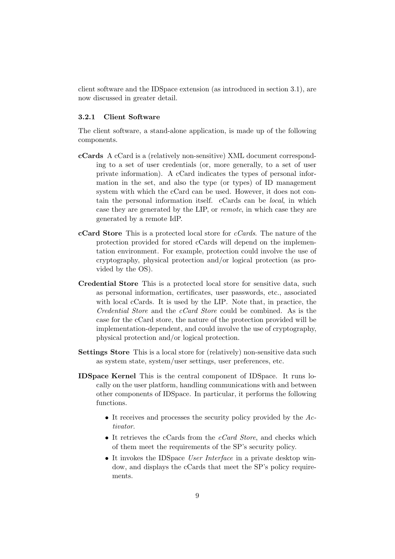client software and the IDSpace extension (as introduced in section 3.1), are now discussed in greater detail.

#### 3.2.1 Client Software

The client software, a stand-alone application, is made up of the following components.

- cCards A cCard is a (relatively non-sensitive) XML document corresponding to a set of user credentials (or, more generally, to a set of user private information). A cCard indicates the types of personal information in the set, and also the type (or types) of ID management system with which the cCard can be used. However, it does not contain the personal information itself. cCards can be local, in which case they are generated by the LIP, or remote, in which case they are generated by a remote IdP.
- cCard Store This is a protected local store for cCards. The nature of the protection provided for stored cCards will depend on the implementation environment. For example, protection could involve the use of cryptography, physical protection and/or logical protection (as provided by the OS).
- Credential Store This is a protected local store for sensitive data, such as personal information, certificates, user passwords, etc., associated with local cCards. It is used by the LIP. Note that, in practice, the Credential Store and the cCard Store could be combined. As is the case for the cCard store, the nature of the protection provided will be implementation-dependent, and could involve the use of cryptography, physical protection and/or logical protection.
- Settings Store This is a local store for (relatively) non-sensitive data such as system state, system/user settings, user preferences, etc.
- IDSpace Kernel This is the central component of IDSpace. It runs locally on the user platform, handling communications with and between other components of IDSpace. In particular, it performs the following functions.
	- $\bullet$  It receives and processes the security policy provided by the  $Ac$ tivator.
	- It retrieves the cCards from the *cCard Store*, and checks which of them meet the requirements of the SP's security policy.
	- It invokes the IDSpace *User Interface* in a private desktop window, and displays the cCards that meet the SP's policy requirements.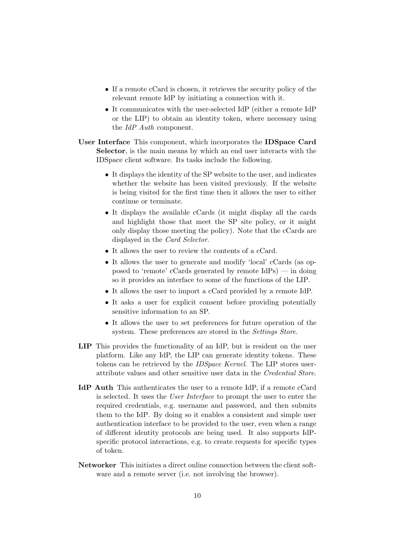- If a remote cCard is chosen, it retrieves the security policy of the relevant remote IdP by initiating a connection with it.
- It communicates with the user-selected IdP (either a remote IdP or the LIP) to obtain an identity token, where necessary using the IdP Auth component.
- User Interface This component, which incorporates the IDSpace Card Selector, is the main means by which an end user interacts with the IDSpace client software. Its tasks include the following.
	- It displays the identity of the SP website to the user, and indicates whether the website has been visited previously. If the website is being visited for the first time then it allows the user to either continue or terminate.
	- It displays the available cCards (it might display all the cards and highlight those that meet the SP site policy, or it might only display those meeting the policy). Note that the cCards are displayed in the Card Selector.
	- It allows the user to review the contents of a cCard.
	- It allows the user to generate and modify 'local' cCards (as opposed to 'remote' cCards generated by remote IdPs) — in doing so it provides an interface to some of the functions of the LIP.
	- It allows the user to import a cCard provided by a remote IdP.
	- It asks a user for explicit consent before providing potentially sensitive information to an SP.
	- It allows the user to set preferences for future operation of the system. These preferences are stored in the Settings Store.
- LIP This provides the functionality of an IdP, but is resident on the user platform. Like any IdP, the LIP can generate identity tokens. These tokens can be retrieved by the IDSpace Kernel. The LIP stores userattribute values and other sensitive user data in the Credential Store.
- IdP Auth This authenticates the user to a remote IdP, if a remote cCard is selected. It uses the User Interface to prompt the user to enter the required credentials, e.g. username and password, and then submits them to the IdP. By doing so it enables a consistent and simple user authentication interface to be provided to the user, even when a range of different identity protocols are being used. It also supports IdPspecific protocol interactions, e.g. to create requests for specific types of token.
- Networker This initiates a direct online connection between the client software and a remote server (i.e. not involving the browser).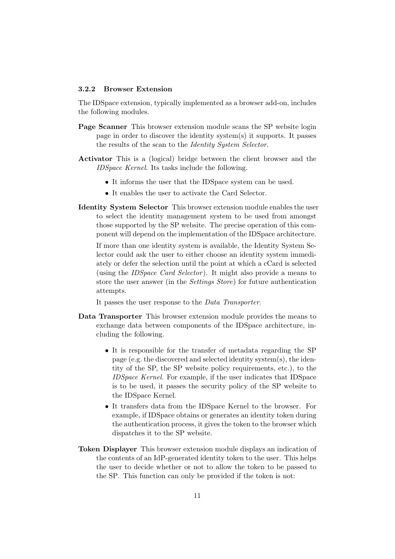#### 3.2.2 Browser Extension

The IDSpace extension, typically implemented as a browser add-on, includes the following modules.

- Page Scanner This browser extension module scans the SP website login page in order to discover the identity system(s) it supports. It passes the results of the scan to the Identity System Selector.
- Activator This is a (logical) bridge between the client browser and the IDSpace Kernel. Its tasks include the following.
	- It informs the user that the IDSpace system can be used.
	- It enables the user to activate the Card Selector.
- Identity System Selector This browser extension module enables the user to select the identity management system to be used from amongst those supported by the SP website. The precise operation of this component will depend on the implementation of the IDSpace architecture.

If more than one identity system is available, the Identity System Selector could ask the user to either choose an identity system immediately or defer the selection until the point at which a cCard is selected (using the IDSpace Card Selector ). It might also provide a means to store the user answer (in the Settings Store) for future authentication attempts.

It passes the user response to the Data Transporter.

- Data Transporter This browser extension module provides the means to exchange data between components of the IDSpace architecture, including the following.
	- It is responsible for the transfer of metadata regarding the SP page (e.g. the discovered and selected identity system(s), the identity of the SP, the SP website policy requirements, etc.), to the IDSpace Kernel. For example, if the user indicates that IDSpace is to be used, it passes the security policy of the SP website to the IDSpace Kernel.
	- It transfers data from the IDSpace Kernel to the browser. For example, if IDSpace obtains or generates an identity token during the authentication process, it gives the token to the browser which dispatches it to the SP website.
- Token Displayer This browser extension module displays an indication of the contents of an IdP-generated identity token to the user. This helps the user to decide whether or not to allow the token to be passed to the SP. This function can only be provided if the token is not: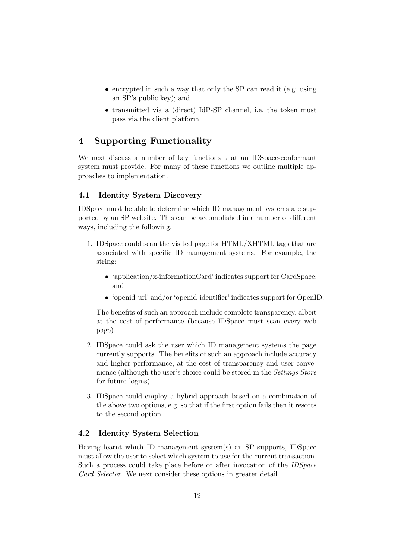- encrypted in such a way that only the SP can read it (e.g. using an SP's public key); and
- transmitted via a (direct) IdP-SP channel, i.e. the token must pass via the client platform.

# 4 Supporting Functionality

We next discuss a number of key functions that an IDSpace-conformant system must provide. For many of these functions we outline multiple approaches to implementation.

#### 4.1 Identity System Discovery

IDSpace must be able to determine which ID management systems are supported by an SP website. This can be accomplished in a number of different ways, including the following.

- 1. IDSpace could scan the visited page for HTML/XHTML tags that are associated with specific ID management systems. For example, the string:
	- 'application/x-informationCard' indicates support for CardSpace; and
	- 'openid url' and/or 'openid identifier' indicates support for OpenID.

The benefits of such an approach include complete transparency, albeit at the cost of performance (because IDSpace must scan every web page).

- 2. IDSpace could ask the user which ID management systems the page currently supports. The benefits of such an approach include accuracy and higher performance, at the cost of transparency and user convenience (although the user's choice could be stored in the Settings Store for future logins).
- 3. IDSpace could employ a hybrid approach based on a combination of the above two options, e.g. so that if the first option fails then it resorts to the second option.

# 4.2 Identity System Selection

Having learnt which ID management system(s) an SP supports, IDSpace must allow the user to select which system to use for the current transaction. Such a process could take place before or after invocation of the IDSpace Card Selector. We next consider these options in greater detail.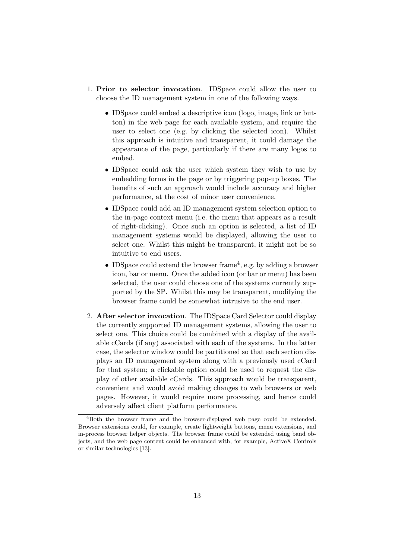- 1. Prior to selector invocation. IDSpace could allow the user to choose the ID management system in one of the following ways.
	- IDSpace could embed a descriptive icon (logo, image, link or button) in the web page for each available system, and require the user to select one (e.g. by clicking the selected icon). Whilst this approach is intuitive and transparent, it could damage the appearance of the page, particularly if there are many logos to embed.
	- IDSpace could ask the user which system they wish to use by embedding forms in the page or by triggering pop-up boxes. The benefits of such an approach would include accuracy and higher performance, at the cost of minor user convenience.
	- IDSpace could add an ID management system selection option to the in-page context menu (i.e. the menu that appears as a result of right-clicking). Once such an option is selected, a list of ID management systems would be displayed, allowing the user to select one. Whilst this might be transparent, it might not be so intuitive to end users.
	- IDSpace could extend the browser frame<sup>4</sup>, e.g. by adding a browser icon, bar or menu. Once the added icon (or bar or menu) has been selected, the user could choose one of the systems currently supported by the SP. Whilst this may be transparent, modifying the browser frame could be somewhat intrusive to the end user.
- 2. After selector invocation. The IDSpace Card Selector could display the currently supported ID management systems, allowing the user to select one. This choice could be combined with a display of the available cCards (if any) associated with each of the systems. In the latter case, the selector window could be partitioned so that each section displays an ID management system along with a previously used cCard for that system; a clickable option could be used to request the display of other available cCards. This approach would be transparent, convenient and would avoid making changes to web browsers or web pages. However, it would require more processing, and hence could adversely affect client platform performance.

<sup>4</sup>Both the browser frame and the browser-displayed web page could be extended. Browser extensions could, for example, create lightweight buttons, menu extensions, and in-process browser helper objects. The browser frame could be extended using band objects, and the web page content could be enhanced with, for example, ActiveX Controls or similar technologies [13].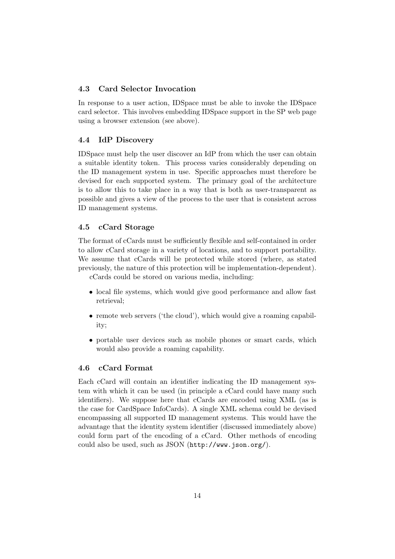# 4.3 Card Selector Invocation

In response to a user action, IDSpace must be able to invoke the IDSpace card selector. This involves embedding IDSpace support in the SP web page using a browser extension (see above).

#### 4.4 IdP Discovery

IDSpace must help the user discover an IdP from which the user can obtain a suitable identity token. This process varies considerably depending on the ID management system in use. Specific approaches must therefore be devised for each supported system. The primary goal of the architecture is to allow this to take place in a way that is both as user-transparent as possible and gives a view of the process to the user that is consistent across ID management systems.

#### 4.5 cCard Storage

The format of cCards must be sufficiently flexible and self-contained in order to allow cCard storage in a variety of locations, and to support portability. We assume that cCards will be protected while stored (where, as stated previously, the nature of this protection will be implementation-dependent).

cCards could be stored on various media, including:

- local file systems, which would give good performance and allow fast retrieval;
- remote web servers ('the cloud'), which would give a roaming capability;
- portable user devices such as mobile phones or smart cards, which would also provide a roaming capability.

## 4.6 cCard Format

Each cCard will contain an identifier indicating the ID management system with which it can be used (in principle a cCard could have many such identifiers). We suppose here that cCards are encoded using XML (as is the case for CardSpace InfoCards). A single XML schema could be devised encompassing all supported ID management systems. This would have the advantage that the identity system identifier (discussed immediately above) could form part of the encoding of a cCard. Other methods of encoding could also be used, such as JSON (http://www.json.org/).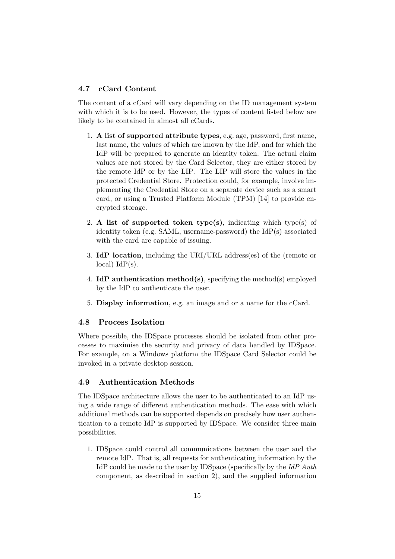# 4.7 cCard Content

The content of a cCard will vary depending on the ID management system with which it is to be used. However, the types of content listed below are likely to be contained in almost all cCards.

- 1. A list of supported attribute types, e.g. age, password, first name, last name, the values of which are known by the IdP, and for which the IdP will be prepared to generate an identity token. The actual claim values are not stored by the Card Selector; they are either stored by the remote IdP or by the LIP. The LIP will store the values in the protected Credential Store. Protection could, for example, involve implementing the Credential Store on a separate device such as a smart card, or using a Trusted Platform Module (TPM) [14] to provide encrypted storage.
- 2. A list of supported token type(s), indicating which type(s) of identity token (e.g. SAML, username-password) the IdP(s) associated with the card are capable of issuing.
- 3. IdP location, including the URI/URL address(es) of the (remote or  $local)$  IdP(s).
- 4. IdP authentication method(s), specifying the method(s) employed by the IdP to authenticate the user.
- 5. Display information, e.g. an image and or a name for the cCard.

### 4.8 Process Isolation

Where possible, the IDSpace processes should be isolated from other processes to maximise the security and privacy of data handled by IDSpace. For example, on a Windows platform the IDSpace Card Selector could be invoked in a private desktop session.

#### 4.9 Authentication Methods

The IDSpace architecture allows the user to be authenticated to an IdP using a wide range of different authentication methods. The ease with which additional methods can be supported depends on precisely how user authentication to a remote IdP is supported by IDSpace. We consider three main possibilities.

1. IDSpace could control all communications between the user and the remote IdP. That is, all requests for authenticating information by the IdP could be made to the user by IDSpace (specifically by the IdP Auth component, as described in section 2), and the supplied information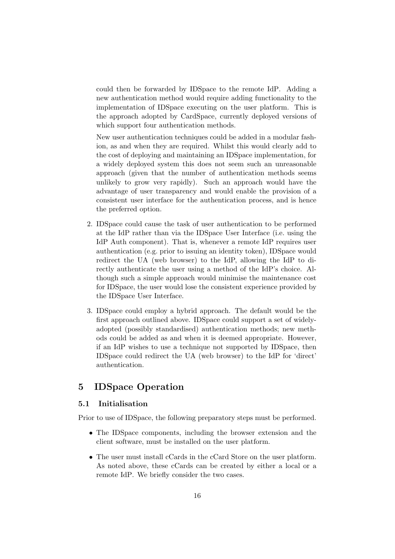could then be forwarded by IDSpace to the remote IdP. Adding a new authentication method would require adding functionality to the implementation of IDSpace executing on the user platform. This is the approach adopted by CardSpace, currently deployed versions of which support four authentication methods.

New user authentication techniques could be added in a modular fashion, as and when they are required. Whilst this would clearly add to the cost of deploying and maintaining an IDSpace implementation, for a widely deployed system this does not seem such an unreasonable approach (given that the number of authentication methods seems unlikely to grow very rapidly). Such an approach would have the advantage of user transparency and would enable the provision of a consistent user interface for the authentication process, and is hence the preferred option.

- 2. IDSpace could cause the task of user authentication to be performed at the IdP rather than via the IDSpace User Interface (i.e. using the IdP Auth component). That is, whenever a remote IdP requires user authentication (e.g. prior to issuing an identity token), IDSpace would redirect the UA (web browser) to the IdP, allowing the IdP to directly authenticate the user using a method of the IdP's choice. Although such a simple approach would minimise the maintenance cost for IDSpace, the user would lose the consistent experience provided by the IDSpace User Interface.
- 3. IDSpace could employ a hybrid approach. The default would be the first approach outlined above. IDSpace could support a set of widelyadopted (possibly standardised) authentication methods; new methods could be added as and when it is deemed appropriate. However, if an IdP wishes to use a technique not supported by IDSpace, then IDSpace could redirect the UA (web browser) to the IdP for 'direct' authentication.

# 5 IDSpace Operation

#### 5.1 Initialisation

Prior to use of IDSpace, the following preparatory steps must be performed.

- The IDSpace components, including the browser extension and the client software, must be installed on the user platform.
- The user must install cCards in the cCard Store on the user platform. As noted above, these cCards can be created by either a local or a remote IdP. We briefly consider the two cases.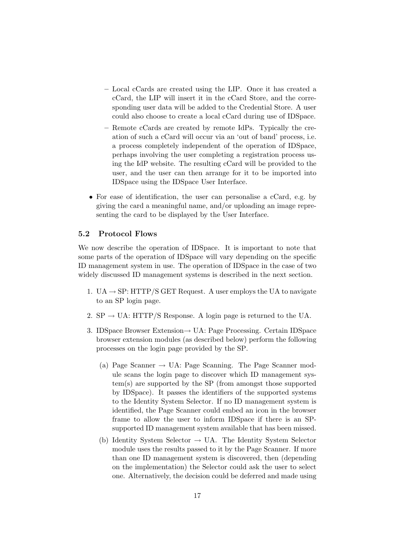- Local cCards are created using the LIP. Once it has created a cCard, the LIP will insert it in the cCard Store, and the corresponding user data will be added to the Credential Store. A user could also choose to create a local cCard during use of IDSpace.
- Remote cCards are created by remote IdPs. Typically the creation of such a cCard will occur via an 'out of band' process, i.e. a process completely independent of the operation of IDSpace, perhaps involving the user completing a registration process using the IdP website. The resulting cCard will be provided to the user, and the user can then arrange for it to be imported into IDSpace using the IDSpace User Interface.
- For ease of identification, the user can personalise a cCard, e.g. by giving the card a meaningful name, and/or uploading an image representing the card to be displayed by the User Interface.

#### 5.2 Protocol Flows

We now describe the operation of IDSpace. It is important to note that some parts of the operation of IDSpace will vary depending on the specific ID management system in use. The operation of IDSpace in the case of two widely discussed ID management systems is described in the next section.

- 1. UA  $\rightarrow$  SP: HTTP/S GET Request. A user employs the UA to navigate to an SP login page.
- 2.  $SP \rightarrow UA$ : HTTP/S Response. A login page is returned to the UA.
- 3. IDSpace Browser Extension→ UA: Page Processing. Certain IDSpace browser extension modules (as described below) perform the following processes on the login page provided by the SP.
	- (a) Page Scanner  $\rightarrow$  UA: Page Scanning. The Page Scanner module scans the login page to discover which ID management system(s) are supported by the SP (from amongst those supported by IDSpace). It passes the identifiers of the supported systems to the Identity System Selector. If no ID management system is identified, the Page Scanner could embed an icon in the browser frame to allow the user to inform IDSpace if there is an SPsupported ID management system available that has been missed.
	- (b) Identity System Selector  $\rightarrow$  UA. The Identity System Selector module uses the results passed to it by the Page Scanner. If more than one ID management system is discovered, then (depending on the implementation) the Selector could ask the user to select one. Alternatively, the decision could be deferred and made using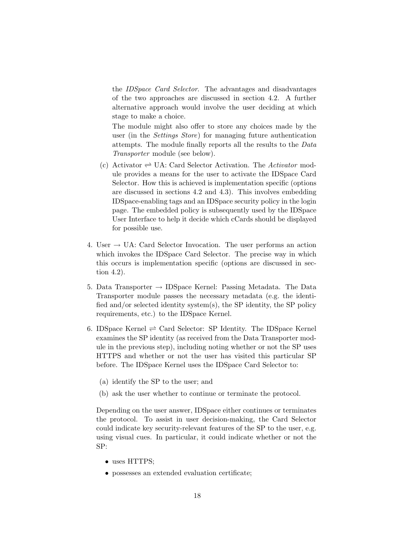the IDSpace Card Selector. The advantages and disadvantages of the two approaches are discussed in section 4.2. A further alternative approach would involve the user deciding at which stage to make a choice.

The module might also offer to store any choices made by the user (in the Settings Store) for managing future authentication attempts. The module finally reports all the results to the Data Transporter module (see below).

- (c) Activator  $\rightleftharpoons$  UA: Card Selector Activation. The Activator module provides a means for the user to activate the IDSpace Card Selector. How this is achieved is implementation specific (options are discussed in sections 4.2 and 4.3). This involves embedding IDSpace-enabling tags and an IDSpace security policy in the login page. The embedded policy is subsequently used by the IDSpace User Interface to help it decide which cCards should be displayed for possible use.
- 4. User  $\rightarrow$  UA: Card Selector Invocation. The user performs an action which invokes the IDSpace Card Selector. The precise way in which this occurs is implementation specific (options are discussed in section 4.2).
- 5. Data Transporter  $\rightarrow$  IDSpace Kernel: Passing Metadata. The Data Transporter module passes the necessary metadata (e.g. the identified and/or selected identity system(s), the SP identity, the SP policy requirements, etc.) to the IDSpace Kernel.
- 6. IDSpace Kernel  $\rightleftharpoons$  Card Selector: SP Identity. The IDSpace Kernel examines the SP identity (as received from the Data Transporter module in the previous step), including noting whether or not the SP uses HTTPS and whether or not the user has visited this particular SP before. The IDSpace Kernel uses the IDSpace Card Selector to:
	- (a) identify the SP to the user; and
	- (b) ask the user whether to continue or terminate the protocol.

Depending on the user answer, IDSpace either continues or terminates the protocol. To assist in user decision-making, the Card Selector could indicate key security-relevant features of the SP to the user, e.g. using visual cues. In particular, it could indicate whether or not the SP:

- uses HTTPS;
- possesses an extended evaluation certificate;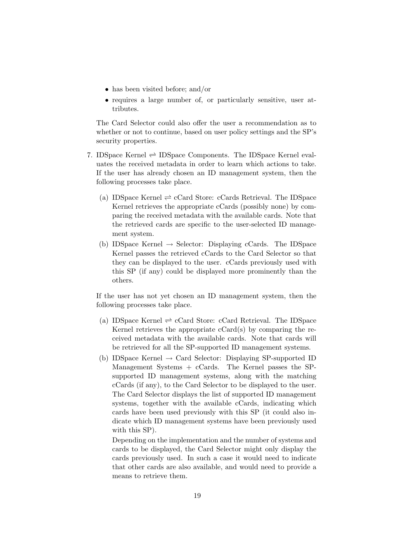- has been visited before; and/or
- requires a large number of, or particularly sensitive, user attributes.

The Card Selector could also offer the user a recommendation as to whether or not to continue, based on user policy settings and the SP's security properties.

- 7. IDSpace Kernel  $\rightleftharpoons$  IDSpace Components. The IDSpace Kernel evaluates the received metadata in order to learn which actions to take. If the user has already chosen an ID management system, then the following processes take place.
	- (a) IDSpace Kernel  $\rightleftharpoons$  cCard Store: cCards Retrieval. The IDSpace Kernel retrieves the appropriate cCards (possibly none) by comparing the received metadata with the available cards. Note that the retrieved cards are specific to the user-selected ID management system.
	- (b) IDSpace Kernel  $\rightarrow$  Selector: Displaying cCards. The IDSpace Kernel passes the retrieved cCards to the Card Selector so that they can be displayed to the user. cCards previously used with this SP (if any) could be displayed more prominently than the others.

If the user has not yet chosen an ID management system, then the following processes take place.

- (a) IDSpace Kernel  $\rightleftharpoons$  cCard Store: cCard Retrieval. The IDSpace Kernel retrieves the appropriate cCard(s) by comparing the received metadata with the available cards. Note that cards will be retrieved for all the SP-supported ID management systems.
- (b) IDSpace Kernel  $\rightarrow$  Card Selector: Displaying SP-supported ID Management Systems + cCards. The Kernel passes the SPsupported ID management systems, along with the matching cCards (if any), to the Card Selector to be displayed to the user. The Card Selector displays the list of supported ID management systems, together with the available cCards, indicating which cards have been used previously with this SP (it could also indicate which ID management systems have been previously used with this SP).

Depending on the implementation and the number of systems and cards to be displayed, the Card Selector might only display the cards previously used. In such a case it would need to indicate that other cards are also available, and would need to provide a means to retrieve them.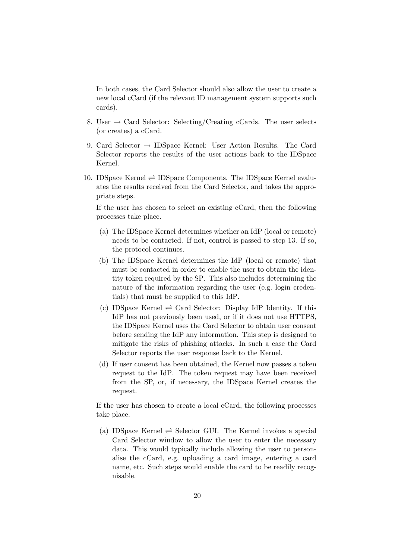In both cases, the Card Selector should also allow the user to create a new local cCard (if the relevant ID management system supports such cards).

- 8. User  $\rightarrow$  Card Selector: Selecting/Creating cCards. The user selects (or creates) a cCard.
- 9. Card Selector  $\rightarrow$  IDSpace Kernel: User Action Results. The Card Selector reports the results of the user actions back to the IDSpace Kernel.
- 10. IDSpace Kernel  $\Rightarrow$  IDSpace Components. The IDSpace Kernel evaluates the results received from the Card Selector, and takes the appropriate steps.

If the user has chosen to select an existing cCard, then the following processes take place.

- (a) The IDSpace Kernel determines whether an IdP (local or remote) needs to be contacted. If not, control is passed to step 13. If so, the protocol continues.
- (b) The IDSpace Kernel determines the IdP (local or remote) that must be contacted in order to enable the user to obtain the identity token required by the SP. This also includes determining the nature of the information regarding the user (e.g. login credentials) that must be supplied to this IdP.
- (c) IDSpace Kernel  $\Rightarrow$  Card Selector: Display IdP Identity. If this IdP has not previously been used, or if it does not use HTTPS. the IDSpace Kernel uses the Card Selector to obtain user consent before sending the IdP any information. This step is designed to mitigate the risks of phishing attacks. In such a case the Card Selector reports the user response back to the Kernel.
- (d) If user consent has been obtained, the Kernel now passes a token request to the IdP. The token request may have been received from the SP, or, if necessary, the IDSpace Kernel creates the request.

If the user has chosen to create a local cCard, the following processes take place.

(a) IDSpace Kernel  $\Rightarrow$  Selector GUI. The Kernel invokes a special Card Selector window to allow the user to enter the necessary data. This would typically include allowing the user to personalise the cCard, e.g. uploading a card image, entering a card name, etc. Such steps would enable the card to be readily recognisable.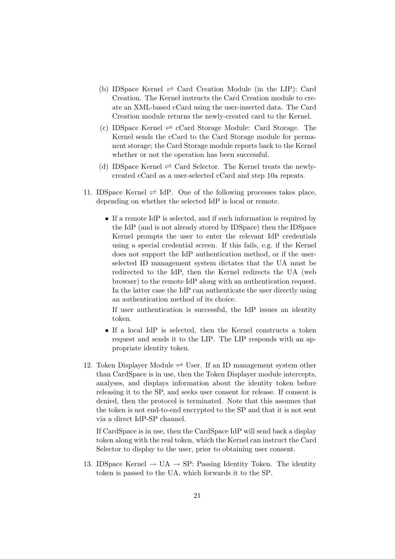- (b) IDSpace Kernel  $\Rightarrow$  Card Creation Module (in the LIP): Card Creation. The Kernel instructs the Card Creation module to create an XML-based cCard using the user-inserted data. The Card Creation module returns the newly-created card to the Kernel.
- (c) IDSpace Kernel  $\Rightarrow$  cCard Storage Module: Card Storage. The Kernel sends the cCard to the Card Storage module for permanent storage; the Card Storage module reports back to the Kernel whether or not the operation has been successful.
- (d) IDSpace Kernel  $\rightleftharpoons$  Card Selector. The Kernel treats the newlycreated cCard as a user-selected cCard and step 10a repeats.
- 11. IDSpace Kernel  $\rightleftharpoons$  IdP. One of the following processes takes place, depending on whether the selected IdP is local or remote.
	- If a remote IdP is selected, and if such information is required by the IdP (and is not already stored by IDSpace) then the IDSpace Kernel prompts the user to enter the relevant IdP credentials using a special credential screen. If this fails, e.g. if the Kernel does not support the IdP authentication method, or if the userselected ID management system dictates that the UA must be redirected to the IdP, then the Kernel redirects the UA (web browser) to the remote IdP along with an authentication request. In the latter case the IdP can authenticate the user directly using an authentication method of its choice.

If user authentication is successful, the IdP issues an identity token.

- If a local IdP is selected, then the Kernel constructs a token request and sends it to the LIP. The LIP responds with an appropriate identity token.
- 12. Token Displayer Module  $\rightleftharpoons$  User. If an ID management system other than CardSpace is in use, then the Token Displayer module intercepts, analyses, and displays information about the identity token before releasing it to the SP, and seeks user consent for release. If consent is denied, then the protocol is terminated. Note that this assumes that the token is not end-to-end encrypted to the SP and that it is not sent via a direct IdP-SP channel.

If CardSpace is in use, then the CardSpace IdP will send back a display token along with the real token, which the Kernel can instruct the Card Selector to display to the user, prior to obtaining user consent.

13. IDSpace Kernel  $\rightarrow$  UA  $\rightarrow$  SP: Passing Identity Token. The identity token is passed to the UA, which forwards it to the SP.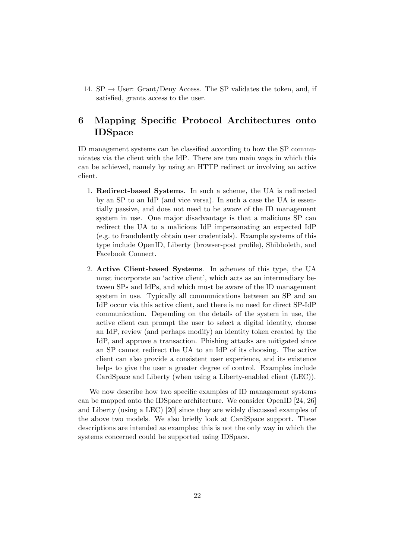14.  $SP \rightarrow User$ : Grant/Deny Access. The SP validates the token, and, if satisfied, grants access to the user.

# 6 Mapping Specific Protocol Architectures onto IDSpace

ID management systems can be classified according to how the SP communicates via the client with the IdP. There are two main ways in which this can be achieved, namely by using an HTTP redirect or involving an active client.

- 1. Redirect-based Systems. In such a scheme, the UA is redirected by an SP to an IdP (and vice versa). In such a case the UA is essentially passive, and does not need to be aware of the ID management system in use. One major disadvantage is that a malicious SP can redirect the UA to a malicious IdP impersonating an expected IdP (e.g. to fraudulently obtain user credentials). Example systems of this type include OpenID, Liberty (browser-post profile), Shibboleth, and Facebook Connect.
- 2. Active Client-based Systems. In schemes of this type, the UA must incorporate an 'active client', which acts as an intermediary between SPs and IdPs, and which must be aware of the ID management system in use. Typically all communications between an SP and an IdP occur via this active client, and there is no need for direct SP-IdP communication. Depending on the details of the system in use, the active client can prompt the user to select a digital identity, choose an IdP, review (and perhaps modify) an identity token created by the IdP, and approve a transaction. Phishing attacks are mitigated since an SP cannot redirect the UA to an IdP of its choosing. The active client can also provide a consistent user experience, and its existence helps to give the user a greater degree of control. Examples include CardSpace and Liberty (when using a Liberty-enabled client (LEC)).

We now describe how two specific examples of ID management systems can be mapped onto the IDSpace architecture. We consider OpenID [24, 26] and Liberty (using a LEC) [20] since they are widely discussed examples of the above two models. We also briefly look at CardSpace support. These descriptions are intended as examples; this is not the only way in which the systems concerned could be supported using IDSpace.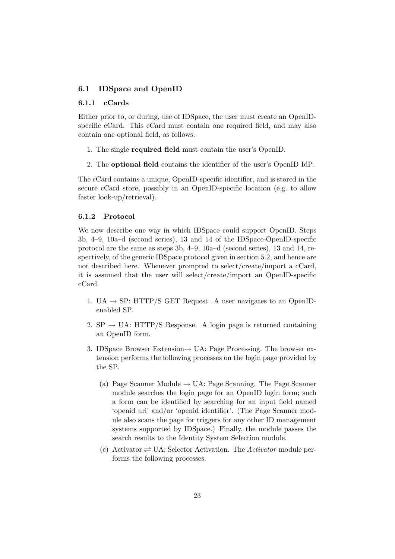#### 6.1 IDSpace and OpenID

#### 6.1.1 cCards

Either prior to, or during, use of IDSpace, the user must create an OpenIDspecific cCard. This cCard must contain one required field, and may also contain one optional field, as follows.

- 1. The single required field must contain the user's OpenID.
- 2. The optional field contains the identifier of the user's OpenID IdP.

The cCard contains a unique, OpenID-specific identifier, and is stored in the secure cCard store, possibly in an OpenID-specific location (e.g. to allow faster look-up/retrieval).

#### 6.1.2 Protocol

We now describe one way in which IDSpace could support OpenID. Steps 3b, 4–9, 10a–d (second series), 13 and 14 of the IDSpace-OpenID-specific protocol are the same as steps 3b, 4–9, 10a–d (second series), 13 and 14, respectively, of the generic IDSpace protocol given in section 5.2, and hence are not described here. Whenever prompted to select/create/import a cCard, it is assumed that the user will select/create/import an OpenID-specific cCard.

- 1. UA  $\rightarrow$  SP: HTTP/S GET Request. A user navigates to an OpenIDenabled SP.
- 2.  $SP \rightarrow UA$ : HTTP/S Response. A login page is returned containing an OpenID form.
- 3. IDSpace Browser Extension→ UA: Page Processing. The browser extension performs the following processes on the login page provided by the SP.
	- (a) Page Scanner Module  $\rightarrow$  UA: Page Scanning. The Page Scanner module searches the login page for an OpenID login form; such a form can be identified by searching for an input field named 'openid url' and/or 'openid identifier'. (The Page Scanner module also scans the page for triggers for any other ID management systems supported by IDSpace.) Finally, the module passes the search results to the Identity System Selection module.
	- (c) Activator  $\rightleftharpoons$  UA: Selector Activation. The Activator module performs the following processes.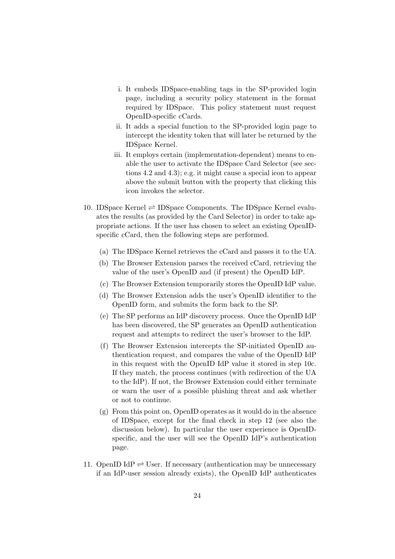- i. It embeds IDSpace-enabling tags in the SP-provided login page, including a security policy statement in the format required by IDSpace. This policy statement must request OpenID-specific cCards.
- ii. It adds a special function to the SP-provided login page to intercept the identity token that will later be returned by the IDSpace Kernel.
- iii. It employs certain (implementation-dependent) means to enable the user to activate the IDSpace Card Selector (see sections 4.2 and 4.3); e.g. it might cause a special icon to appear above the submit button with the property that clicking this icon invokes the selector.
- 10. IDSpace Kernel  $\rightleftharpoons$  IDSpace Components. The IDSpace Kernel evaluates the results (as provided by the Card Selector) in order to take appropriate actions. If the user has chosen to select an existing OpenIDspecific cCard, then the following steps are performed.
	- (a) The IDSpace Kernel retrieves the cCard and passes it to the UA.
	- (b) The Browser Extension parses the received cCard, retrieving the value of the user's OpenID and (if present) the OpenID IdP.
	- (c) The Browser Extension temporarily stores the OpenID IdP value.
	- (d) The Browser Extension adds the user's OpenID identifier to the OpenID form, and submits the form back to the SP.
	- (e) The SP performs an IdP discovery process. Once the OpenID IdP has been discovered, the SP generates an OpenID authentication request and attempts to redirect the user's browser to the IdP.
	- (f) The Browser Extension intercepts the SP-initiated OpenID authentication request, and compares the value of the OpenID IdP in this request with the OpenID IdP value it stored in step 10c. If they match, the process continues (with redirection of the UA to the IdP). If not, the Browser Extension could either terminate or warn the user of a possible phishing threat and ask whether or not to continue.
	- (g) From this point on, OpenID operates as it would do in the absence of IDSpace, except for the final check in step 12 (see also the discussion below). In particular the user experience is OpenIDspecific, and the user will see the OpenID IdP's authentication page.
- 11. OpenID IdP  $\rightleftharpoons$  User. If necessary (authentication may be unnecessary if an IdP-user session already exists), the OpenID IdP authenticates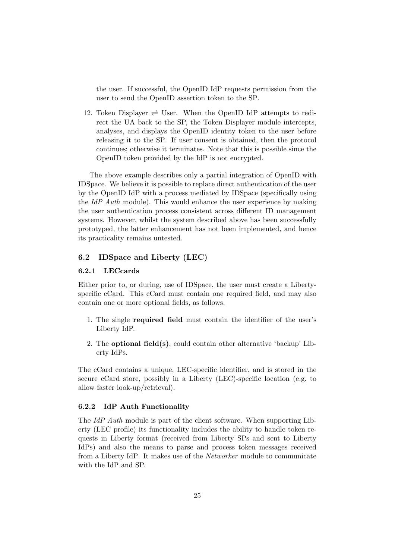the user. If successful, the OpenID IdP requests permission from the user to send the OpenID assertion token to the SP.

12. Token Displayer  $\Rightarrow$  User. When the OpenID IdP attempts to redirect the UA back to the SP, the Token Displayer module intercepts, analyses, and displays the OpenID identity token to the user before releasing it to the SP. If user consent is obtained, then the protocol continues; otherwise it terminates. Note that this is possible since the OpenID token provided by the IdP is not encrypted.

The above example describes only a partial integration of OpenID with IDSpace. We believe it is possible to replace direct authentication of the user by the OpenID IdP with a process mediated by IDSpace (specifically using the IdP Auth module). This would enhance the user experience by making the user authentication process consistent across different ID management systems. However, whilst the system described above has been successfully prototyped, the latter enhancement has not been implemented, and hence its practicality remains untested.

# 6.2 IDSpace and Liberty (LEC)

#### 6.2.1 LECcards

Either prior to, or during, use of IDSpace, the user must create a Libertyspecific cCard. This cCard must contain one required field, and may also contain one or more optional fields, as follows.

- 1. The single required field must contain the identifier of the user's Liberty IdP.
- 2. The optional field(s), could contain other alternative 'backup' Liberty IdPs.

The cCard contains a unique, LEC-specific identifier, and is stored in the secure cCard store, possibly in a Liberty (LEC)-specific location (e.g. to allow faster look-up/retrieval).

#### 6.2.2 IdP Auth Functionality

The IdP Auth module is part of the client software. When supporting Liberty (LEC profile) its functionality includes the ability to handle token requests in Liberty format (received from Liberty SPs and sent to Liberty IdPs) and also the means to parse and process token messages received from a Liberty IdP. It makes use of the Networker module to communicate with the IdP and SP.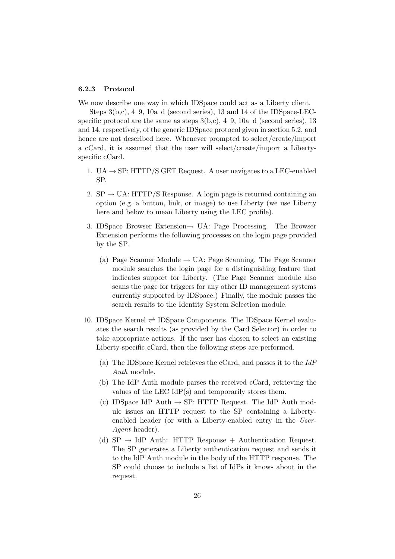#### 6.2.3 Protocol

We now describe one way in which IDSpace could act as a Liberty client.

Steps 3(b,c), 4–9, 10a–d (second series), 13 and 14 of the IDSpace-LECspecific protocol are the same as steps  $3(b,c)$ ,  $4-9$ ,  $10a-d$  (second series), 13 and 14, respectively, of the generic IDSpace protocol given in section 5.2, and hence are not described here. Whenever prompted to select/create/import a cCard, it is assumed that the user will select/create/import a Libertyspecific cCard.

- 1. UA  $\rightarrow$  SP: HTTP/S GET Request. A user navigates to a LEC-enabled SP.
- 2.  $SP \rightarrow UA$ : HTTP/S Response. A login page is returned containing an option (e.g. a button, link, or image) to use Liberty (we use Liberty here and below to mean Liberty using the LEC profile).
- 3. IDSpace Browser Extension→ UA: Page Processing. The Browser Extension performs the following processes on the login page provided by the SP.
	- (a) Page Scanner Module  $\rightarrow$  UA: Page Scanning. The Page Scanner module searches the login page for a distinguishing feature that indicates support for Liberty. (The Page Scanner module also scans the page for triggers for any other ID management systems currently supported by IDSpace.) Finally, the module passes the search results to the Identity System Selection module.
- 10. IDSpace Kernel  $\rightleftharpoons$  IDSpace Components. The IDSpace Kernel evaluates the search results (as provided by the Card Selector) in order to take appropriate actions. If the user has chosen to select an existing Liberty-specific cCard, then the following steps are performed.
	- (a) The IDSpace Kernel retrieves the cCard, and passes it to the IdP Auth module.
	- (b) The IdP Auth module parses the received cCard, retrieving the values of the LEC IdP(s) and temporarily stores them.
	- (c) IDSpace IdP Auth  $\rightarrow$  SP: HTTP Request. The IdP Auth module issues an HTTP request to the SP containing a Libertyenabled header (or with a Liberty-enabled entry in the User-Agent header).
	- (d)  $SP \rightarrow IdP$  Auth: HTTP Response + Authentication Request. The SP generates a Liberty authentication request and sends it to the IdP Auth module in the body of the HTTP response. The SP could choose to include a list of IdPs it knows about in the request.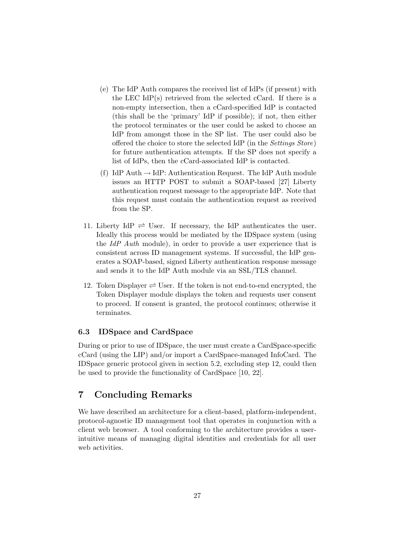- (e) The IdP Auth compares the received list of IdPs (if present) with the LEC  $IdP(s)$  retrieved from the selected cCard. If there is a non-empty intersection, then a cCard-specified IdP is contacted (this shall be the 'primary' IdP if possible); if not, then either the protocol terminates or the user could be asked to choose an IdP from amongst those in the SP list. The user could also be offered the choice to store the selected IdP (in the Settings Store) for future authentication attempts. If the SP does not specify a list of IdPs, then the cCard-associated IdP is contacted.
- (f) IdP Auth  $\rightarrow$  IdP: Authentication Request. The IdP Auth module issues an HTTP POST to submit a SOAP-based [27] Liberty authentication request message to the appropriate IdP. Note that this request must contain the authentication request as received from the SP.
- 11. Liberty IdP  $\Rightarrow$  User. If necessary, the IdP authenticates the user. Ideally this process would be mediated by the IDSpace system (using the IdP Auth module), in order to provide a user experience that is consistent across ID management systems. If successful, the IdP generates a SOAP-based, signed Liberty authentication response message and sends it to the IdP Auth module via an SSL/TLS channel.
- 12. Token Displayer  $\rightleftharpoons$  User. If the token is not end-to-end encrypted, the Token Displayer module displays the token and requests user consent to proceed. If consent is granted, the protocol continues; otherwise it terminates.

## 6.3 IDSpace and CardSpace

During or prior to use of IDSpace, the user must create a CardSpace-specific cCard (using the LIP) and/or import a CardSpace-managed InfoCard. The IDSpace generic protocol given in section 5.2, excluding step 12, could then be used to provide the functionality of CardSpace [10, 22].

# 7 Concluding Remarks

We have described an architecture for a client-based, platform-independent, protocol-agnostic ID management tool that operates in conjunction with a client web browser. A tool conforming to the architecture provides a userintuitive means of managing digital identities and credentials for all user web activities.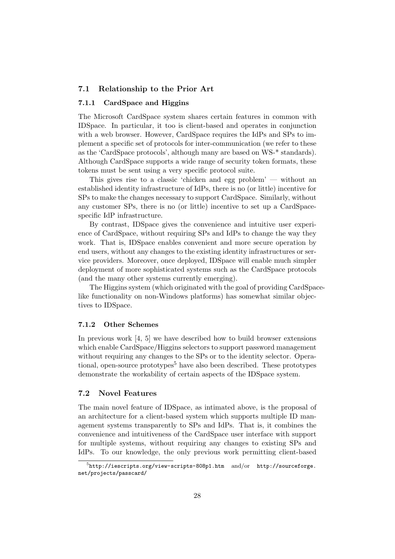#### 7.1 Relationship to the Prior Art

#### 7.1.1 CardSpace and Higgins

The Microsoft CardSpace system shares certain features in common with IDSpace. In particular, it too is client-based and operates in conjunction with a web browser. However, CardSpace requires the IdPs and SPs to implement a specific set of protocols for inter-communication (we refer to these as the 'CardSpace protocols', although many are based on WS-\* standards). Although CardSpace supports a wide range of security token formats, these tokens must be sent using a very specific protocol suite.

This gives rise to a classic 'chicken and egg problem' — without an established identity infrastructure of IdPs, there is no (or little) incentive for SPs to make the changes necessary to support CardSpace. Similarly, without any customer SPs, there is no (or little) incentive to set up a CardSpacespecific IdP infrastructure.

By contrast, IDSpace gives the convenience and intuitive user experience of CardSpace, without requiring SPs and IdPs to change the way they work. That is, IDSpace enables convenient and more secure operation by end users, without any changes to the existing identity infrastructures or service providers. Moreover, once deployed, IDSpace will enable much simpler deployment of more sophisticated systems such as the CardSpace protocols (and the many other systems currently emerging).

The Higgins system (which originated with the goal of providing CardSpacelike functionality on non-Windows platforms) has somewhat similar objectives to IDSpace.

#### 7.1.2 Other Schemes

In previous work [4, 5] we have described how to build browser extensions which enable CardSpace/Higgins selectors to support password management without requiring any changes to the SPs or to the identity selector. Operational, open-source prototypes<sup>5</sup> have also been described. These prototypes demonstrate the workability of certain aspects of the IDSpace system.

#### 7.2 Novel Features

The main novel feature of IDSpace, as intimated above, is the proposal of an architecture for a client-based system which supports multiple ID management systems transparently to SPs and IdPs. That is, it combines the convenience and intuitiveness of the CardSpace user interface with support for multiple systems, without requiring any changes to existing SPs and IdPs. To our knowledge, the only previous work permitting client-based

 $^{5}$ http://iescripts.org/view-scripts-808p1.htm and/or http://sourceforge. net/projects/passcard/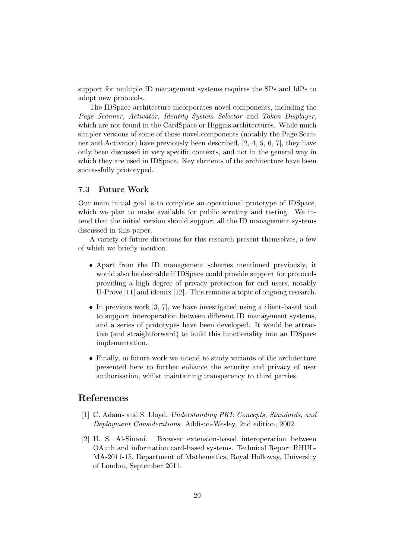support for multiple ID management systems requires the SPs and IdPs to adopt new protocols.

The IDSpace architecture incorporates novel components, including the Page Scanner, Activator, Identity System Selector and Token Displayer, which are not found in the CardSpace or Higgins architectures. While much simpler versions of some of these novel components (notably the Page Scanner and Activator) have previously been described, [2, 4, 5, 6, 7], they have only been discussed in very specific contexts, and not in the general way in which they are used in IDSpace. Key elements of the architecture have been successfully prototyped.

#### 7.3 Future Work

Our main initial goal is to complete an operational prototype of IDSpace, which we plan to make available for public scrutiny and testing. We intend that the initial version should support all the ID management systems discussed in this paper.

A variety of future directions for this research present themselves, a few of which we briefly mention.

- Apart from the ID management schemes mentioned previously, it would also be desirable if IDSpace could provide support for protocols providing a high degree of privacy protection for end users, notably U-Prove [11] and idemix [12]. This remains a topic of ongoing research.
- In previous work [3, 7], we have investigated using a client-based tool to support interoperation between different ID management systems, and a series of prototypes have been developed. It would be attractive (and straightforward) to build this functionality into an IDSpace implementation.
- Finally, in future work we intend to study variants of the architecture presented here to further enhance the security and privacy of user authorisation, whilst maintaining transparency to third parties.

# References

- [1] C. Adams and S. Lloyd. Understanding PKI: Concepts, Standards, and Deployment Considerations. Addison-Wesley, 2nd edition, 2002.
- [2] H. S. Al-Sinani. Browser extension-based interoperation between OAuth and information card-based systems. Technical Report RHUL-MA-2011-15, Department of Mathematics, Royal Holloway, University of London, September 2011.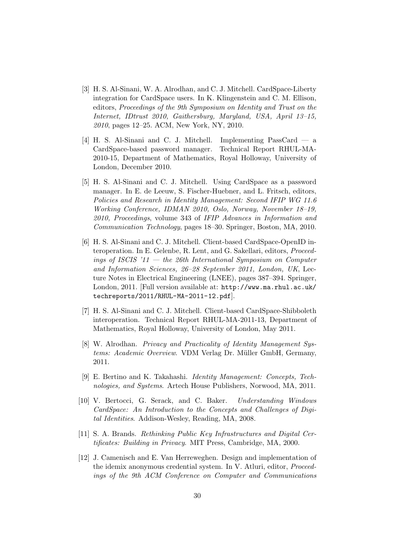- [3] H. S. Al-Sinani, W. A. Alrodhan, and C. J. Mitchell. CardSpace-Liberty integration for CardSpace users. In K. Klingenstein and C. M. Ellison, editors, Proceedings of the 9th Symposium on Identity and Trust on the Internet, IDtrust 2010, Gaithersburg, Maryland, USA, April 13–15, 2010, pages 12–25. ACM, New York, NY, 2010.
- [4] H. S. Al-Sinani and C. J. Mitchell. Implementing PassCard a CardSpace-based password manager. Technical Report RHUL-MA-2010-15, Department of Mathematics, Royal Holloway, University of London, December 2010.
- [5] H. S. Al-Sinani and C. J. Mitchell. Using CardSpace as a password manager. In E. de Leeuw, S. Fischer-Huebner, and L. Fritsch, editors, Policies and Research in Identity Management: Second IFIP WG 11.6 Working Conference, IDMAN 2010, Oslo, Norway, November 18–19, 2010, Proceedings, volume 343 of IFIP Advances in Information and Communication Technology, pages 18–30. Springer, Boston, MA, 2010.
- [6] H. S. Al-Sinani and C. J. Mitchell. Client-based CardSpace-OpenID interoperation. In E. Gelenbe, R. Lent, and G. Sakellari, editors, Proceedings of ISCIS  $'11$  — the 26th International Symposium on Computer and Information Sciences, 26–28 September 2011, London, UK, Lecture Notes in Electrical Engineering (LNEE), pages 387–394. Springer, London, 2011. [Full version available at: http://www.ma.rhul.ac.uk/ techreports/2011/RHUL-MA-2011-12.pdf].
- [7] H. S. Al-Sinani and C. J. Mitchell. Client-based CardSpace-Shibboleth interoperation. Technical Report RHUL-MA-2011-13, Department of Mathematics, Royal Holloway, University of London, May 2011.
- [8] W. Alrodhan. Privacy and Practicality of Identity Management Systems: Academic Overview. VDM Verlag Dr. Müller GmbH, Germany, 2011.
- [9] E. Bertino and K. Takahashi. Identity Management: Concepts, Technologies, and Systems. Artech House Publishers, Norwood, MA, 2011.
- [10] V. Bertocci, G. Serack, and C. Baker. Understanding Windows CardSpace: An Introduction to the Concepts and Challenges of Digital Identities. Addison-Wesley, Reading, MA, 2008.
- [11] S. A. Brands. Rethinking Public Key Infrastructures and Digital Certificates: Building in Privacy. MIT Press, Cambridge, MA, 2000.
- [12] J. Camenisch and E. Van Herreweghen. Design and implementation of the idemix anonymous credential system. In V. Atluri, editor, Proceedings of the 9th ACM Conference on Computer and Communications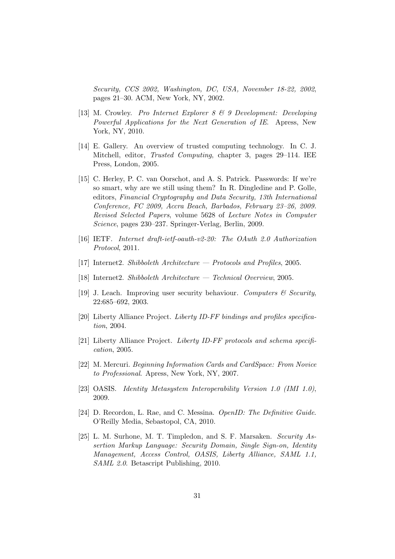Security, CCS 2002, Washington, DC, USA, November 18-22, 2002, pages 21–30. ACM, New York, NY, 2002.

- [13] M. Crowley. Pro Internet Explorer 8 & 9 Development: Developing Powerful Applications for the Next Generation of IE. Apress, New York, NY, 2010.
- [14] E. Gallery. An overview of trusted computing technology. In C. J. Mitchell, editor, Trusted Computing, chapter 3, pages 29–114. IEE Press, London, 2005.
- [15] C. Herley, P. C. van Oorschot, and A. S. Patrick. Passwords: If we're so smart, why are we still using them? In R. Dingledine and P. Golle, editors, Financial Cryptography and Data Security, 13th International Conference, FC 2009, Accra Beach, Barbados, February 23–26, 2009. Revised Selected Papers, volume 5628 of Lecture Notes in Computer Science, pages 230–237. Springer-Verlag, Berlin, 2009.
- [16] IETF. Internet draft-ietf-oauth-v2-20: The OAuth 2.0 Authorization Protocol, 2011.
- [17] Internet2. Shibboleth Architecture Protocols and Profiles, 2005.
- [18] Internet2. Shibboleth Architecture Technical Overview, 2005.
- [19] J. Leach. Improving user security behaviour. Computers  $\mathcal C$  Security, 22:685–692, 2003.
- [20] Liberty Alliance Project. Liberty ID-FF bindings and profiles specification, 2004.
- [21] Liberty Alliance Project. Liberty ID-FF protocols and schema specification, 2005.
- [22] M. Mercuri. Beginning Information Cards and CardSpace: From Novice to Professional. Apress, New York, NY, 2007.
- [23] OASIS. Identity Metasystem Interoperability Version 1.0 (IMI 1.0), 2009.
- [24] D. Recordon, L. Rae, and C. Messina. *OpenID: The Definitive Guide.* O'Reilly Media, Sebastopol, CA, 2010.
- [25] L. M. Surhone, M. T. Timpledon, and S. F. Marsaken. Security Assertion Markup Language: Security Domain, Single Sign-on, Identity Management, Access Control, OASIS, Liberty Alliance, SAML 1.1, SAML 2.0. Betascript Publishing, 2010.